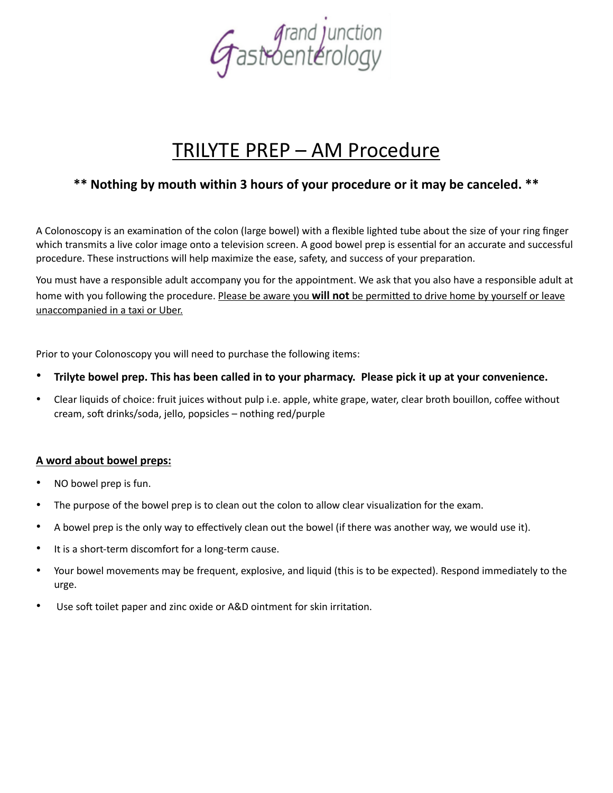

# TRILYTE PREP – AM Procedure

## **\*\* Nothing by mouth within 3 hours of your procedure or it may be canceled. \*\***

A Colonoscopy is an examination of the colon (large bowel) with a flexible lighted tube about the size of your ring finger which transmits a live color image onto a television screen. A good bowel prep is essential for an accurate and successful procedure. These instructions will help maximize the ease, safety, and success of your preparation.

You must have a responsible adult accompany you for the appointment. We ask that you also have a responsible adult at home with you following the procedure. Please be aware you will not be permitted to drive home by yourself or leave unaccompanied in a taxi or Uber.

Prior to your Colonoscopy you will need to purchase the following items:

- **Trilyte bowel prep. This has been called in to your pharmacy. Please pick it up at your convenience.**
- Clear liquids of choice: fruit juices without pulp i.e. apple, white grape, water, clear broth bouillon, coffee without cream, soft drinks/soda, jello, popsicles – nothing red/purple

#### **A word about bowel preps:**

- NO bowel prep is fun.
- The purpose of the bowel prep is to clean out the colon to allow clear visualization for the exam.
- A bowel prep is the only way to effectively clean out the bowel (if there was another way, we would use it).
- It is a short-term discomfort for a long-term cause.
- Your bowel movements may be frequent, explosive, and liquid (this is to be expected). Respond immediately to the urge.
- Use soft toilet paper and zinc oxide or A&D ointment for skin irritation.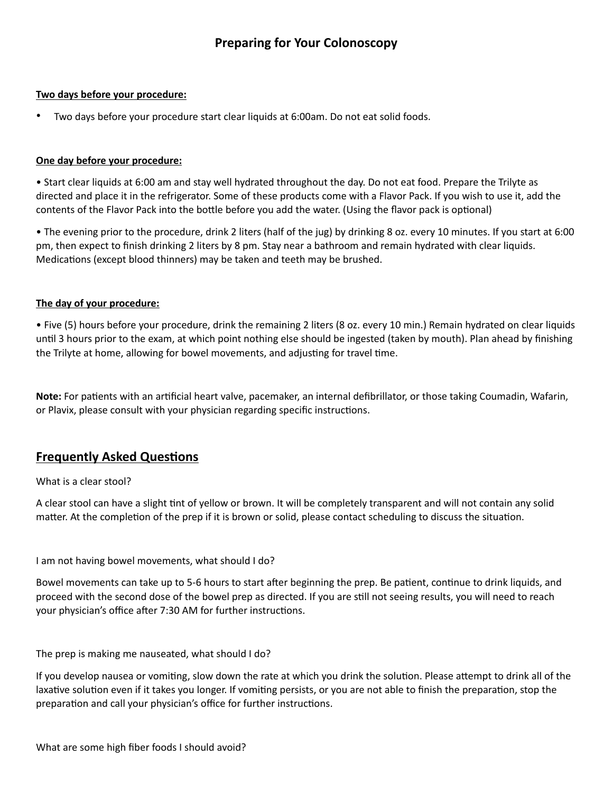#### **Two days before your procedure:**

• Two days before your procedure start clear liquids at 6:00am. Do not eat solid foods.

#### **One day before your procedure:**

• Start clear liquids at 6:00 am and stay well hydrated throughout the day. Do not eat food. Prepare the Trilyte as directed and place it in the refrigerator. Some of these products come with a Flavor Pack. If you wish to use it, add the contents of the Flavor Pack into the bottle before you add the water. (Using the flavor pack is optional)

• The evening prior to the procedure, drink 2 liters (half of the jug) by drinking 8 oz. every 10 minutes. If you start at 6:00 pm, then expect to finish drinking 2 liters by 8 pm. Stay near a bathroom and remain hydrated with clear liquids. Medications (except blood thinners) may be taken and teeth may be brushed.

#### **The day of your procedure:**

• Five (5) hours before your procedure, drink the remaining 2 liters (8 oz. every 10 min.) Remain hydrated on clear liquids until 3 hours prior to the exam, at which point nothing else should be ingested (taken by mouth). Plan ahead by finishing the Trilyte at home, allowing for bowel movements, and adjusting for travel time.

**Note:** For patients with an artificial heart valve, pacemaker, an internal defibrillator, or those taking Coumadin, Wafarin, or Plavix, please consult with your physician regarding specific instructions.

### **Frequently Asked Questions**

#### What is a clear stool?

A clear stool can have a slight tint of yellow or brown. It will be completely transparent and will not contain any solid matter. At the completion of the prep if it is brown or solid, please contact scheduling to discuss the situation.

I am not having bowel movements, what should I do?

Bowel movements can take up to 5-6 hours to start after beginning the prep. Be patient, continue to drink liquids, and proceed with the second dose of the bowel prep as directed. If you are still not seeing results, you will need to reach your physician's office after 7:30 AM for further instructions.

The prep is making me nauseated, what should I do?

If you develop nausea or vomiting, slow down the rate at which you drink the solution. Please attempt to drink all of the laxative solution even if it takes you longer. If vomiting persists, or you are not able to finish the preparation, stop the preparation and call your physician's office for further instructions.